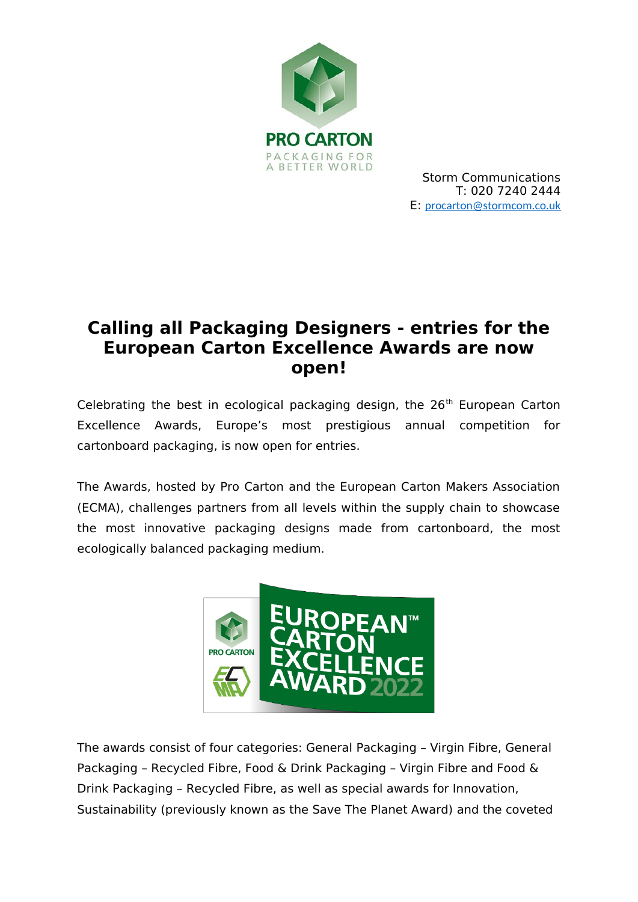

# **Calling all Packaging Designers - entries for the European Carton Excellence Awards are now open!**

Celebrating the best in ecological packaging design, the  $26<sup>th</sup>$  European Carton Excellence Awards, Europe's most prestigious annual competition for cartonboard packaging, is now open for entries.

The Awards, hosted by Pro Carton and the European Carton Makers Association (ECMA), challenges partners from all levels within the supply chain to showcase the most innovative packaging designs made from cartonboard, the most ecologically balanced packaging medium.



The awards consist of four categories: General Packaging – Virgin Fibre, General Packaging – Recycled Fibre, Food & Drink Packaging – Virgin Fibre and Food & Drink Packaging – Recycled Fibre, as well as special awards for Innovation, Sustainability (previously known as the Save The Planet Award) and the coveted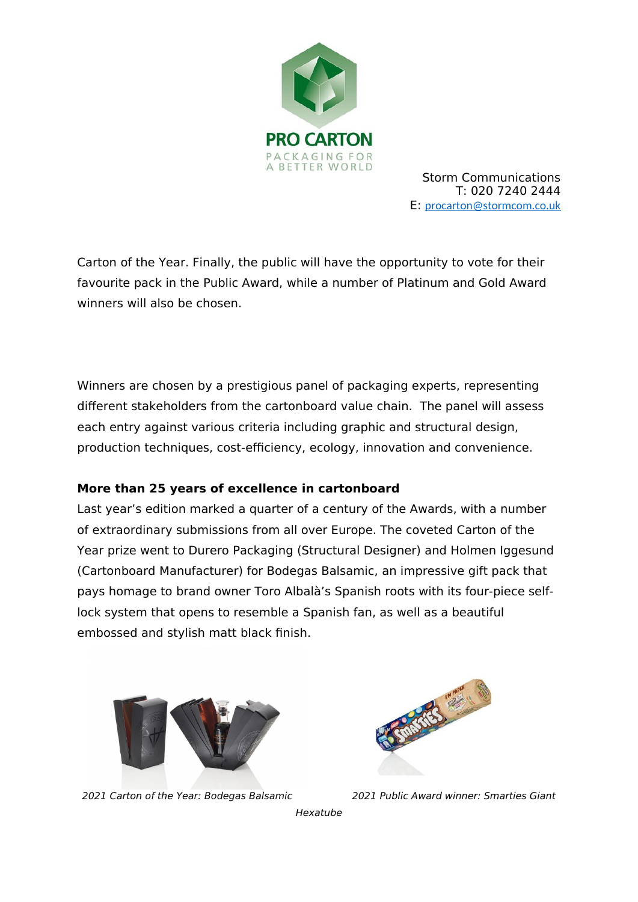

Carton of the Year. Finally, the public will have the opportunity to vote for their favourite pack in the Public Award, while a number of Platinum and Gold Award winners will also be chosen.

Winners are chosen by a prestigious panel of packaging experts, representing different stakeholders from the cartonboard value chain. The panel will assess each entry against various criteria including graphic and structural design, production techniques, cost-efficiency, ecology, innovation and convenience.

## **More than 25 years of excellence in cartonboard**

Last year's edition marked a quarter of a century of the Awards, with a number of extraordinary submissions from all over Europe. The coveted Carton of the Year prize went to Durero Packaging (Structural Designer) and Holmen Iggesund (Cartonboard Manufacturer) for Bodegas Balsamic, an impressive gift pack that pays homage to brand owner Toro Albalà's Spanish roots with its four-piece selflock system that opens to resemble a Spanish fan, as well as a beautiful embossed and stylish matt black finish.



2021 Carton of the Year: Bodegas Balsamic 2021 Public Award winner: Smarties Giant



Hexatube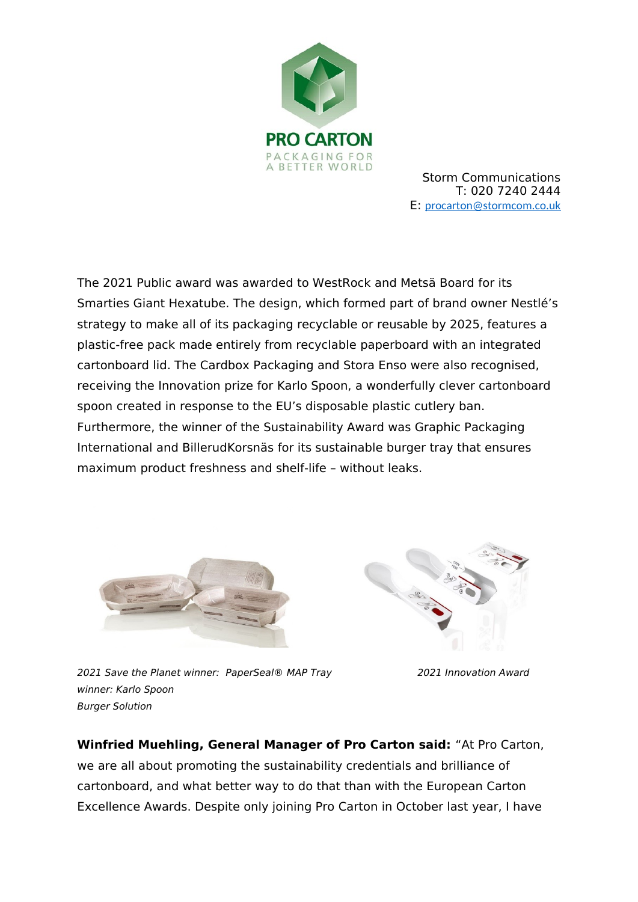

The 2021 Public award was awarded to WestRock and Metsä Board for its Smarties Giant Hexatube. The design, which formed part of brand owner Nestlé's strategy to make all of its packaging recyclable or reusable by 2025, features a plastic-free pack made entirely from recyclable paperboard with an integrated cartonboard lid. The Cardbox Packaging and Stora Enso were also recognised, receiving the Innovation prize for Karlo Spoon, a wonderfully clever cartonboard spoon created in response to the EU's disposable plastic cutlery ban. Furthermore, the winner of the Sustainability Award was Graphic Packaging International and BillerudKorsnäs for its sustainable burger tray that ensures maximum product freshness and shelf-life – without leaks.





2021 Save the Planet winner: PaperSeal® MAP Tray 2021 Innovation Award winner: Karlo Spoon Burger Solution

**Winfried Muehling, General Manager of Pro Carton said:** "At Pro Carton, we are all about promoting the sustainability credentials and brilliance of cartonboard, and what better way to do that than with the European Carton Excellence Awards. Despite only joining Pro Carton in October last year, I have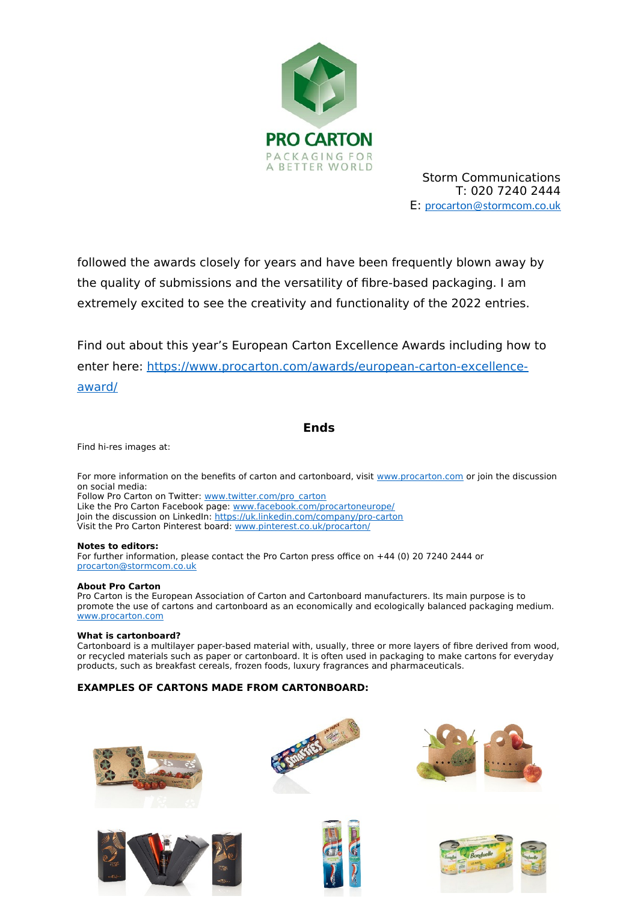

followed the awards closely for years and have been frequently blown away by the quality of submissions and the versatility of fibre-based packaging. I am extremely excited to see the creativity and functionality of the 2022 entries.

Find out about this year's European Carton Excellence Awards including how to enter here: [https://www.procarton.com/awards/european-carton-excellence](https://www.procarton.com/awards/european-carton-excellence-award/)[award/](https://www.procarton.com/awards/european-carton-excellence-award/)

### **Ends**

Find hi-res images at:

For more information on the benefits of carton and cartonboard, visit [www.procarton.com](http://www.procarton.com/) or join the discussion on social media:

Follow Pro Carton on Twitter: [www.twitter.com/pro\\_carton](http://www.twitter.com/pro_carton) Like the Pro Carton Facebook page: [www.facebook.com/procartoneurope/](https://www.facebook.com/procartoneurope/) Join the discussion on LinkedIn:<https://uk.linkedin.com/company/pro-carton> Visit the Pro Carton Pinterest board: [www.pinterest.co.uk/procarton/](https://www.pinterest.co.uk/procarton/)

#### **Notes to editors:**

For further information, please contact the Pro Carton press office on +44 (0) 20 7240 2444 or [procarton@stormcom.co.uk](mailto:procarton@stormcom.co.uk)

#### **About Pro Carton**

Pro Carton is the European Association of Carton and Cartonboard manufacturers. Its main purpose is to promote the use of cartons and cartonboard as an economically and ecologically balanced packaging medium. [www.procarton.com](http://www.procarton.com/) 

#### **What is cartonboard?**

Cartonboard is a multilayer paper-based material with, usually, three or more layers of fibre derived from wood, or recycled materials such as paper or cartonboard. It is often used in packaging to make cartons for everyday products, such as breakfast cereals, frozen foods, luxury fragrances and pharmaceuticals.

#### **EXAMPLES OF CARTONS MADE FROM CARTONBOARD:**